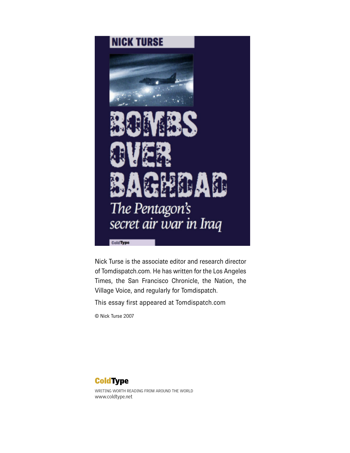

Nick Turse is the associate editor and research director of Tomdispatch.com. He has written for the Los Angeles Times, the San Francisco Chronicle, the Nation, the Village Voice, and regularly for Tomdispatch.

This essay first appeared at Tomdispatch.com

© Nick Turse 2007



WRITING WORTH READING FROM AROUND THE WORLD www.coldtype.net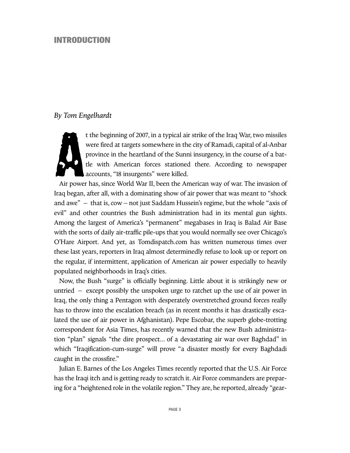#### **INTRODUCTION**

#### *By Tom Engelhardt*



t the beginning of 2007, in a typical air strike of the Iraq War, two missiles were fired at targets somewhere in the city of Ramadi, capital of al-Anbar province in the heartland of the Sunni insurgency, in the course of a battle with American forces stationed there. According to newspaper accounts, "18 insurgents" were killed.

Air power has, since World War II, been the American way of war. The invasion of Iraq began, after all, with a dominating show of air power that was meant to "shock and awe" – that is, cow – not just Saddam Hussein's regime, but the whole "axis of evil" and other countries the Bush administration had in its mental gun sights. Among the largest of America's "permanent" megabases in Iraq is Balad Air Base with the sorts of daily air-traffic pile-ups that you would normally see over Chicago's O'Hare Airport. And yet, as Tomdispatch.com has written numerous times over these last years, reporters in Iraq almost determinedly refuse to look up or report on the regular, if intermittent, application of American air power especially to heavily populated neighborhoods in Iraq's cities.

Now, the Bush "surge" is officially beginning. Little about it is strikingly new or untried – except possibly the unspoken urge to ratchet up the use of air power in Iraq, the only thing a Pentagon with desperately overstretched ground forces really has to throw into the escalation breach (as in recent months it has drastically escalated the use of air power in Afghanistan). Pepe Escobar, the superb globe-trotting correspondent for Asia Times, has recently warned that the new Bush administration "plan" signals "the dire prospect... of a devastating air war over Baghdad" in which "Iraqification-cum-surge" will prove "a disaster mostly for every Baghdadi caught in the crossfire."

Julian E. Barnes of the Los Angeles Times recently reported that the U.S. Air Force has the Iraqi itch and is getting ready to scratch it. Air Force commanders are preparing for a "heightened role in the volatile region." They are, he reported, already "gear-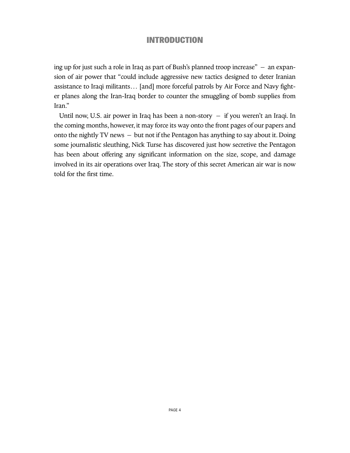## **INTRODUCTION**

ing up for just such a role in Iraq as part of Bush's planned troop increase" – an expansion of air power that "could include aggressive new tactics designed to deter Iranian assistance to Iraqi militants… [and] more forceful patrols by Air Force and Navy fighter planes along the Iran-Iraq border to counter the smuggling of bomb supplies from Iran."

Until now, U.S. air power in Iraq has been a non-story – if you weren't an Iraqi. In the coming months, however, it may force its way onto the front pages of our papers and onto the nightly TV news – but not if the Pentagon has anything to say about it.Doing some journalistic sleuthing, Nick Turse has discovered just how secretive the Pentagon has been about offering any significant information on the size, scope, and damage involved in its air operations over Iraq. The story of this secret American air war is now told for the first time.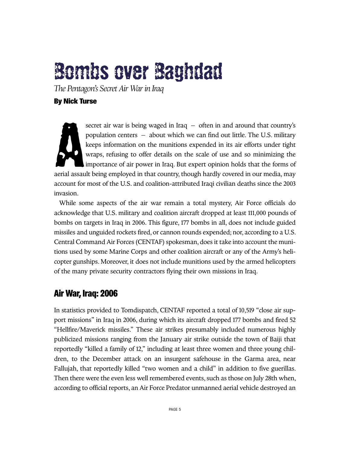# **Bombs over Baghdad**

*The Pentagon's Secret Air War in Iraq*

### **By Nick Turse**

**A** secret air war is being waged in Iraq – often in and around that country's population centers – about which we can find out little. The U.S. military keeps information on the munitions expended in its air efforts under tight wraps, refusing to offer details on the scale of use and so minimizing the importance of air power in Iraq. But expert opinion holds that the forms of aerial assault being employed in that country, though hardly covered in our media, may account for most of the U.S. and coalition-attributed Iraqi civilian deaths since the 2003 invasion.

While some aspects of the air war remain a total mystery, Air Force officials do acknowledge that U.S. military and coalition aircraft dropped at least 111,000 pounds of bombs on targets in Iraq in 2006. This figure, 177 bombs in all, does not include guided missiles and unguided rockets fired, or cannon rounds expended; nor, according to a U.S. Central Command Air Forces (CENTAF) spokesman, does it take into account the munitions used by some Marine Corps and other coalition aircraft or any of the Army's helicopter gunships. Moreover, it does not include munitions used by the armed helicopters of the many private security contractors flying their own missions in Iraq.

# **Air War, Iraq: 2006**

In statistics provided to Tomdispatch, CENTAF reported a total of 10,519 "close air support missions" in Iraq in 2006, during which its aircraft dropped 177 bombs and fired 52 "Hellfire/Maverick missiles." These air strikes presumably included numerous highly publicized missions ranging from the January air strike outside the town of Baiji that reportedly "killed a family of 12," including at least three women and three young children, to the December attack on an insurgent safehouse in the Garma area, near Fallujah, that reportedly killed "two women and a child" in addition to five guerillas. Then there were the even less well remembered events, such as those on July 28th when, according to official reports, an Air Force Predator unmanned aerial vehicle destroyed an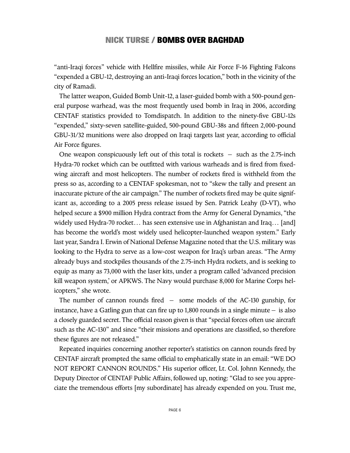"anti-Iraqi forces" vehicle with Hellfire missiles, while Air Force F-16 Fighting Falcons "expended a GBU-12,destroying an anti-Iraqi forces location," both in the vicinity of the city of Ramadi.

The latter weapon,Guided Bomb Unit-12, a laser-guided bomb with a 500-pound general purpose warhead, was the most frequently used bomb in Iraq in 2006, according CENTAF statistics provided to Tomdispatch. In addition to the ninety-five GBU-12s "expended," sixty-seven satellite-guided, 500-pound GBU-38s and fifteen 2,000-pound GBU-31/32 munitions were also dropped on Iraqi targets last year, according to official Air Force figures.

One weapon conspicuously left out of this total is rockets  $-$  such as the 2.75-inch Hydra-70 rocket which can be outfitted with various warheads and is fired from fixedwing aircraft and most helicopters. The number of rockets fired is withheld from the press so as, according to a CENTAF spokesman, not to "skew the tally and present an inaccurate picture of the air campaign." The number of rockets fired may be quite significant as, according to a 2005 press release issued by Sen. Patrick Leahy (D-VT), who helped secure a \$900 million Hydra contract from the Army for General Dynamics, "the widely used Hydra-70 rocket... has seen extensive use in Afghanistan and Iraq... [and] has become the world's most widely used helicopter-launched weapon system." Early last year, Sandra I. Erwin of National Defense Magazine noted that the U.S. military was looking to the Hydra to serve as a low-cost weapon for Iraq's urban areas. "The Army already buys and stockpiles thousands of the 2.75-inch Hydra rockets, and is seeking to equip as many as 73,000 with the laser kits, under a program called 'advanced precision kill weapon system,' or APKWS. The Navy would purchase 8,000 for Marine Corps helicopters," she wrote.

The number of cannon rounds fired – some models of the AC-130 gunship, for instance, have a Gatling gun that can fire up to  $1,800$  rounds in a single minute  $-$  is also a closely guarded secret.The official reason given is that "special forces often use aircraft such as the AC-130" and since "their missions and operations are classified, so therefore these figures are not released."

Repeated inquiries concerning another reporter's statistics on cannon rounds fired by CENTAF aircraft prompted the same official to emphatically state in an email: "WE DO NOT REPORT CANNON ROUNDS." His superior officer, Lt. Col. Johnn Kennedy, the Deputy Director of CENTAF Public Affairs, followed up, noting: "Glad to see you appreciate the tremendous efforts [my subordinate] has already expended on you. Trust me,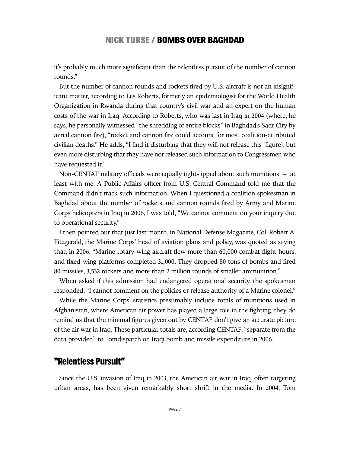it's probably much more significant than the relentless pursuit of the number of cannon rounds."

But the number of cannon rounds and rockets fired by U.S. aircraft is not an insignificant matter, according to Les Roberts, formerly an epidemiologist for the World Health Organization in Rwanda during that country's civil war and an expert on the human costs of the war in Iraq. According to Roberts, who was last in Iraq in 2004 (where, he says, he personally witnessed "the shredding of entire blocks" in Baghdad's Sadr City by aerial cannon fire), "rocket and cannon fire could account for most coalition-attributed civilian deaths." He adds, "I find it disturbing that they will not release this [figure], but even more disturbing that they have not released such information to Congressmen who have requested it."

Non-CENTAF military officials were equally tight-lipped about such munitions – at least with me. A Public Affairs officer from U.S. Central Command told me that the Command didn't track such information. When I questioned a coalition spokesman in Baghdad about the number of rockets and cannon rounds fired by Army and Marine Corps helicopters in Iraq in 2006, I was told, "We cannot comment on your inquiry due to operational security."

I then pointed out that just last month, in National Defense Magazine, Col. Robert A. Fitzgerald, the Marine Corps' head of aviation plans and policy, was quoted as saying that, in 2006, "Marine rotary-wing aircraft flew more than 60,000 combat flight hours, and fixed-wing platforms completed 31,000. They dropped 80 tons of bombs and fired 80 missiles, 3,532 rockets and more than 2 million rounds of smaller ammunition."

When asked if this admission had endangered operational security, the spokesman responded, "I cannot comment on the policies or release authority of a Marine colonel."

While the Marine Corps' statistics presumably include totals of munitions used in Afghanistan, where American air power has played a large role in the fighting, they do remind us that the minimal figures given out by CENTAF don't give an accurate picture of the air war in Iraq. These particular totals are, according CENTAF, "separate from the data provided" to Tomdispatch on Iraqi bomb and missile expenditure in 2006.

# **"Relentless Pursuit"**

Since the U.S. invasion of Iraq in 2003, the American air war in Iraq, often targeting urban areas, has been given remarkably short shrift in the media. In 2004, Tom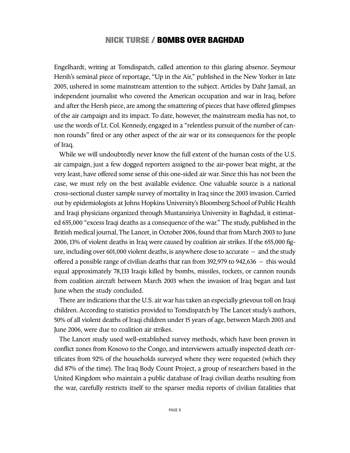Engelhardt, writing at Tomdispatch, called attention to this glaring absence. Seymour Hersh's seminal piece of reportage, "Up in the Air," published in the New Yorker in late 2005, ushered in some mainstream attention to the subject. Articles by Dahr Jamail, an independent journalist who covered the American occupation and war in Iraq, before and after the Hersh piece, are among the smattering of pieces that have offered glimpses of the air campaign and its impact. To date, however, the mainstream media has not, to use the words of Lt.Col. Kennedy, engaged in a "relentless pursuit of the number of cannon rounds" fired or any other aspect of the air war or its consequences for the people of Iraq.

While we will undoubtedly never know the full extent of the human costs of the U.S. air campaign, just a few dogged reporters assigned to the air-power beat might, at the very least, have offered some sense of this one-sided air war. Since this has not been the case, we must rely on the best available evidence. One valuable source is a national cross-sectional cluster sample survey of mortality in Iraq since the 2003 invasion.Carried out by epidemiologists at Johns Hopkins University's Bloomberg School of Public Health and Iraqi physicians organized through Mustansiriya University in Baghdad, it estimated 655,000 "excess Iraqi deaths as a consequence of the war." The study,published in the British medical journal, The Lancet, in October 2006, found that from March 2003 to June 2006,13% of violent deaths in Iraq were caused by coalition air strikes. If the 655,000 figure, including over 601,000 violent deaths, is anywhere close to accurate  $-$  and the study offered a possible range of civilian deaths that ran from 392,979 to 942,636 – this would equal approximately 78,133 Iraqis killed by bombs, missiles, rockets, or cannon rounds from coalition aircraft between March 2003 when the invasion of Iraq began and last June when the study concluded.

There are indications that the U.S. air war has taken an especially grievous toll on Iraqi children. According to statistics provided to Tomdispatch by The Lancet study's authors, 50% of all violent deaths of Iraqi children under 15 years of age, between March 2003 and June 2006, were due to coalition air strikes.

The Lancet study used well-established survey methods, which have been proven in conflict zones from Kosovo to the Congo, and interviewers actually inspected death certificates from 92% of the households surveyed where they were requested (which they did 87% of the time). The Iraq Body Count Project, a group of researchers based in the United Kingdom who maintain a public database of Iraqi civilian deaths resulting from the war, carefully restricts itself to the sparser media reports of civilian fatalities that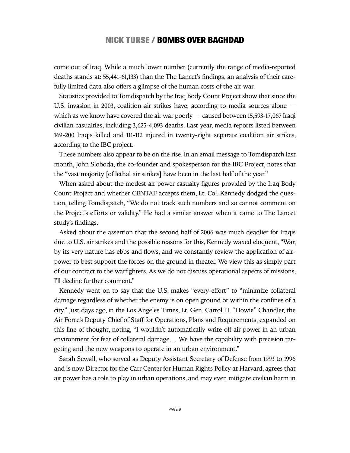come out of Iraq. While a much lower number (currently the range of media-reported deaths stands at: 55,441-61,133) than the The Lancet's findings, an analysis of their carefully limited data also offers a glimpse of the human costs of the air war.

Statistics provided to Tomdispatch by the Iraq Body Count Project show that since the U.S. invasion in 2003, coalition air strikes have, according to media sources alone – which as we know have covered the air war poorly – caused between 15,593-17,067 Iraqi civilian casualties, including 3,625-4,093 deaths. Last year, media reports listed between 169-200 Iraqis killed and 111-112 injured in twenty-eight separate coalition air strikes, according to the IBC project.

These numbers also appear to be on the rise.In an email message to Tomdispatch last month, John Sloboda, the co-founder and spokesperson for the IBC Project, notes that the "vast majority [of lethal air strikes] have been in the last half of the year."

When asked about the modest air power casualty figures provided by the Iraq Body Count Project and whether CENTAF accepts them, Lt. Col. Kennedy dodged the question, telling Tomdispatch, "We do not track such numbers and so cannot comment on the Project's efforts or validity." He had a similar answer when it came to The Lancet study's findings.

Asked about the assertion that the second half of 2006 was much deadlier for Iraqis due to U.S. air strikes and the possible reasons for this, Kennedy waxed eloquent, "War, by its very nature has ebbs and flows, and we constantly review the application of airpower to best support the forces on the ground in theater. We view this as simply part of our contract to the warfighters. As we do not discuss operational aspects of missions, I'll decline further comment."

Kennedy went on to say that the U.S. makes "every effort" to "minimize collateral damage regardless of whether the enemy is on open ground or within the confines of a city." Just days ago, in the Los Angeles Times, Lt. Gen. Carrol H. "Howie" Chandler, the Air Force's Deputy Chief of Staff for Operations, Plans and Requirements, expanded on this line of thought, noting, "I wouldn't automatically write off air power in an urban environment for fear of collateral damage… We have the capability with precision targeting and the new weapons to operate in an urban environment."

Sarah Sewall, who served as Deputy Assistant Secretary of Defense from 1993 to 1996 and is now Director for the Carr Center for Human Rights Policy at Harvard, agrees that air power has a role to play in urban operations, and may even mitigate civilian harm in